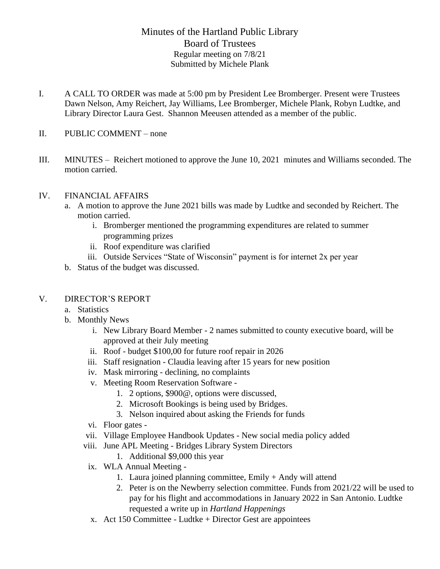# Minutes of the Hartland Public Library Board of Trustees Regular meeting on 7/8/21 Submitted by Michele Plank

- I. A CALL TO ORDER was made at 5:00 pm by President Lee Bromberger. Present were Trustees Dawn Nelson, Amy Reichert, Jay Williams, Lee Bromberger, Michele Plank, Robyn Ludtke, and Library Director Laura Gest. Shannon Meeusen attended as a member of the public.
- II. PUBLIC COMMENT none
- III. MINUTES Reichert motioned to approve the June 10, 2021 minutes and Williams seconded. The motion carried.

#### IV. FINANCIAL AFFAIRS

- a. A motion to approve the June 2021 bills was made by Ludtke and seconded by Reichert. The motion carried.
	- i. Bromberger mentioned the programming expenditures are related to summer programming prizes
	- ii. Roof expenditure was clarified
	- iii. Outside Services "State of Wisconsin" payment is for internet 2x per year
- b. Status of the budget was discussed.

#### V. DIRECTOR'S REPORT

- a. Statistics
- b. Monthly News
	- i. New Library Board Member 2 names submitted to county executive board, will be approved at their July meeting
	- ii. Roof budget \$100,00 for future roof repair in 2026
	- iii. Staff resignation Claudia leaving after 15 years for new position
	- iv. Mask mirroring declining, no complaints
	- v. Meeting Room Reservation Software
		- 1. 2 options, \$900@, options were discussed,
		- 2. Microsoft Bookings is being used by Bridges.
		- 3. Nelson inquired about asking the Friends for funds
	- vi. Floor gates -
	- vii. Village Employee Handbook Updates New social media policy added
	- viii. June APL Meeting Bridges Library System Directors
		- 1. Additional \$9,000 this year
	- ix. WLA Annual Meeting
		- 1. Laura joined planning committee, Emily + Andy will attend
		- 2. Peter is on the Newberry selection committee. Funds from 2021/22 will be used to pay for his flight and accommodations in January 2022 in San Antonio. Ludtke requested a write up in *Hartland Happenings*
	- x. Act 150 Committee Ludtke + Director Gest are appointees